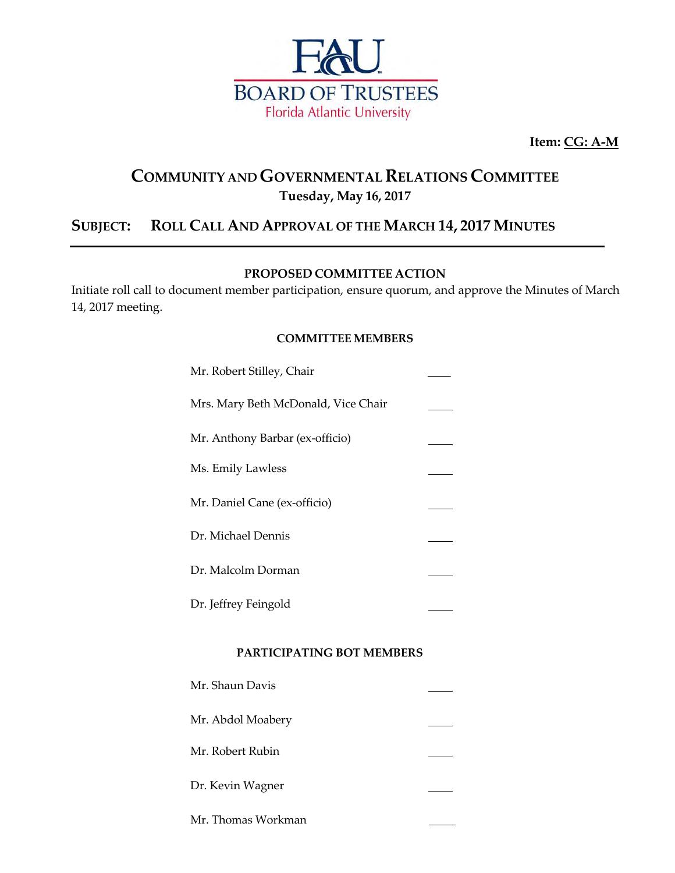

**Item: CG: A-M**

## **COMMUNITY ANDGOVERNMENTAL RELATIONS COMMITTEE Tuesday, May 16, 2017**

## **SUBJECT: ROLL CALL AND APPROVAL OF THE MARCH 14, 2017 MINUTES**

### **PROPOSED COMMITTEE ACTION**

Initiate roll call to document member participation, ensure quorum, and approve the Minutes of March 14, 2017 meeting.

### **COMMITTEE MEMBERS**

| Mr. Robert Stilley, Chair           |  |
|-------------------------------------|--|
| Mrs. Mary Beth McDonald, Vice Chair |  |
| Mr. Anthony Barbar (ex-officio)     |  |
| Ms. Emily Lawless                   |  |
| Mr. Daniel Cane (ex-officio)        |  |
| Dr. Michael Dennis                  |  |
| Dr. Malcolm Dorman                  |  |
| Dr. Jeffrey Feingold                |  |

#### **PARTICIPATING BOT MEMBERS**

| Mr. Shaun Davis    |  |
|--------------------|--|
| Mr. Abdol Moabery  |  |
| Mr. Robert Rubin   |  |
| Dr. Kevin Wagner   |  |
| Mr. Thomas Workman |  |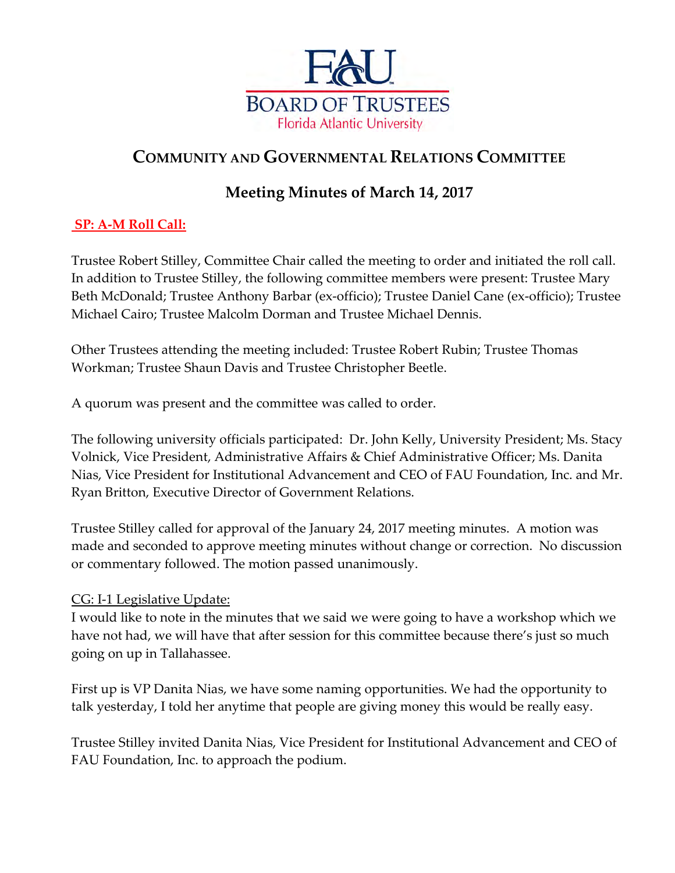

# **COMMUNITY AND GOVERNMENTAL RELATIONS COMMITTEE**

# **Meeting Minutes of March 14, 2017**

## **SP: A-M Roll Call:**

Trustee Robert Stilley, Committee Chair called the meeting to order and initiated the roll call. In addition to Trustee Stilley, the following committee members were present: Trustee Mary Beth McDonald; Trustee Anthony Barbar (ex-officio); Trustee Daniel Cane (ex-officio); Trustee Michael Cairo; Trustee Malcolm Dorman and Trustee Michael Dennis.

Other Trustees attending the meeting included: Trustee Robert Rubin; Trustee Thomas Workman; Trustee Shaun Davis and Trustee Christopher Beetle.

A quorum was present and the committee was called to order.

The following university officials participated: Dr. John Kelly, University President; Ms. Stacy Volnick, Vice President, Administrative Affairs & Chief Administrative Officer; Ms. Danita Nias, Vice President for Institutional Advancement and CEO of FAU Foundation, Inc. and Mr. Ryan Britton, Executive Director of Government Relations.

Trustee Stilley called for approval of the January 24, 2017 meeting minutes. A motion was made and seconded to approve meeting minutes without change or correction. No discussion or commentary followed. The motion passed unanimously.

## CG: I-1 Legislative Update:

I would like to note in the minutes that we said we were going to have a workshop which we have not had, we will have that after session for this committee because there's just so much going on up in Tallahassee.

First up is VP Danita Nias, we have some naming opportunities. We had the opportunity to talk yesterday, I told her anytime that people are giving money this would be really easy.

Trustee Stilley invited Danita Nias, Vice President for Institutional Advancement and CEO of FAU Foundation, Inc. to approach the podium.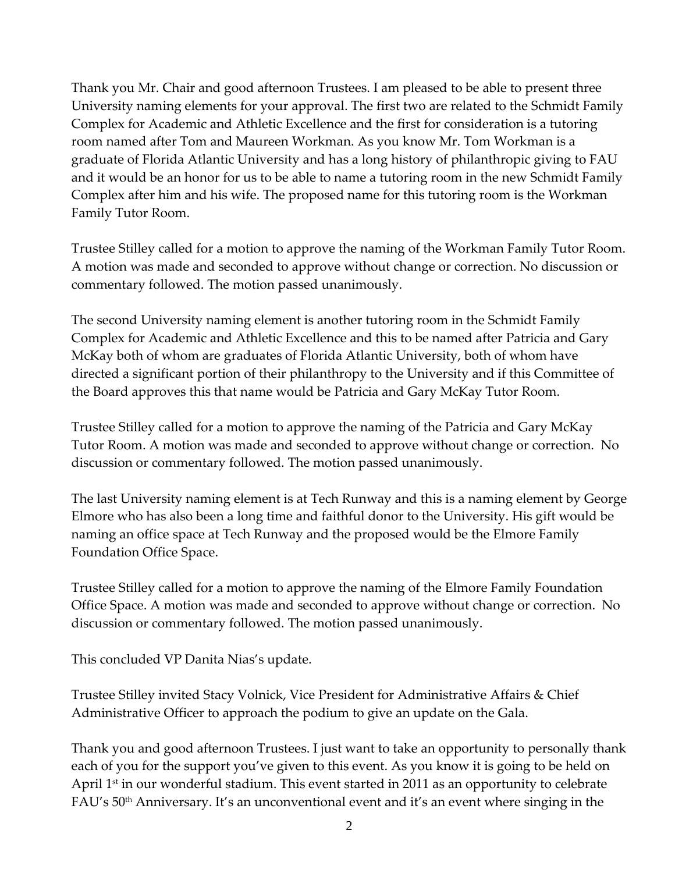Thank you Mr. Chair and good afternoon Trustees. I am pleased to be able to present three University naming elements for your approval. The first two are related to the Schmidt Family Complex for Academic and Athletic Excellence and the first for consideration is a tutoring room named after Tom and Maureen Workman. As you know Mr. Tom Workman is a graduate of Florida Atlantic University and has a long history of philanthropic giving to FAU and it would be an honor for us to be able to name a tutoring room in the new Schmidt Family Complex after him and his wife. The proposed name for this tutoring room is the Workman Family Tutor Room.

Trustee Stilley called for a motion to approve the naming of the Workman Family Tutor Room. A motion was made and seconded to approve without change or correction. No discussion or commentary followed. The motion passed unanimously.

The second University naming element is another tutoring room in the Schmidt Family Complex for Academic and Athletic Excellence and this to be named after Patricia and Gary McKay both of whom are graduates of Florida Atlantic University, both of whom have directed a significant portion of their philanthropy to the University and if this Committee of the Board approves this that name would be Patricia and Gary McKay Tutor Room.

Trustee Stilley called for a motion to approve the naming of the Patricia and Gary McKay Tutor Room. A motion was made and seconded to approve without change or correction. No discussion or commentary followed. The motion passed unanimously.

The last University naming element is at Tech Runway and this is a naming element by George Elmore who has also been a long time and faithful donor to the University. His gift would be naming an office space at Tech Runway and the proposed would be the Elmore Family Foundation Office Space.

Trustee Stilley called for a motion to approve the naming of the Elmore Family Foundation Office Space. A motion was made and seconded to approve without change or correction. No discussion or commentary followed. The motion passed unanimously.

This concluded VP Danita Nias's update.

Trustee Stilley invited Stacy Volnick, Vice President for Administrative Affairs & Chief Administrative Officer to approach the podium to give an update on the Gala.

Thank you and good afternoon Trustees. I just want to take an opportunity to personally thank each of you for the support you've given to this event. As you know it is going to be held on April 1<sup>st</sup> in our wonderful stadium. This event started in 2011 as an opportunity to celebrate FAU's 50<sup>th</sup> Anniversary. It's an unconventional event and it's an event where singing in the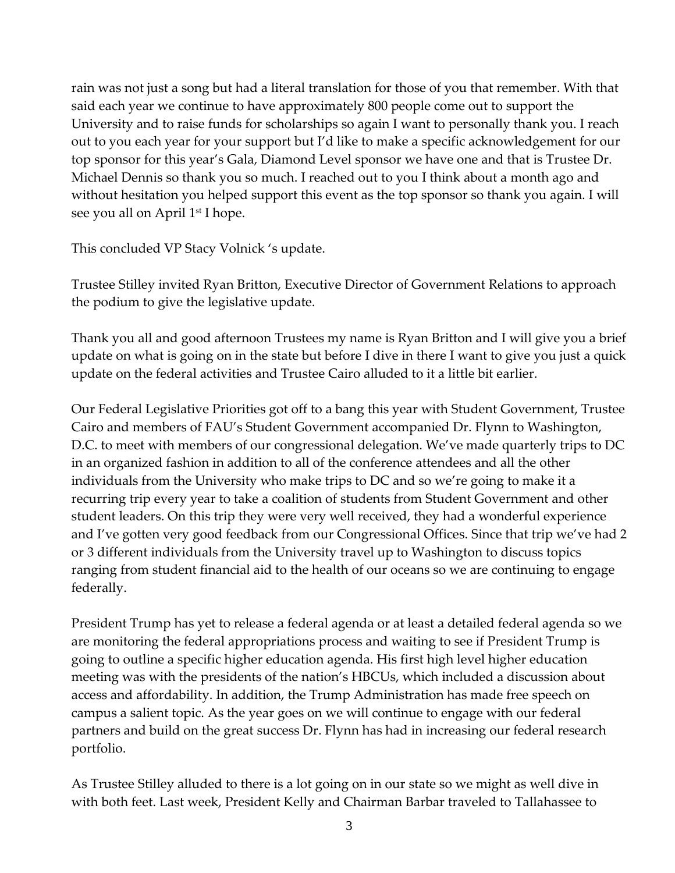rain was not just a song but had a literal translation for those of you that remember. With that said each year we continue to have approximately 800 people come out to support the University and to raise funds for scholarships so again I want to personally thank you. I reach out to you each year for your support but I'd like to make a specific acknowledgement for our top sponsor for this year's Gala, Diamond Level sponsor we have one and that is Trustee Dr. Michael Dennis so thank you so much. I reached out to you I think about a month ago and without hesitation you helped support this event as the top sponsor so thank you again. I will see you all on April 1<sup>st</sup> I hope.

This concluded VP Stacy Volnick 's update.

Trustee Stilley invited Ryan Britton, Executive Director of Government Relations to approach the podium to give the legislative update.

Thank you all and good afternoon Trustees my name is Ryan Britton and I will give you a brief update on what is going on in the state but before I dive in there I want to give you just a quick update on the federal activities and Trustee Cairo alluded to it a little bit earlier.

Our Federal Legislative Priorities got off to a bang this year with Student Government, Trustee Cairo and members of FAU's Student Government accompanied Dr. Flynn to Washington, D.C. to meet with members of our congressional delegation. We've made quarterly trips to DC in an organized fashion in addition to all of the conference attendees and all the other individuals from the University who make trips to DC and so we're going to make it a recurring trip every year to take a coalition of students from Student Government and other student leaders. On this trip they were very well received, they had a wonderful experience and I've gotten very good feedback from our Congressional Offices. Since that trip we've had 2 or 3 different individuals from the University travel up to Washington to discuss topics ranging from student financial aid to the health of our oceans so we are continuing to engage federally.

President Trump has yet to release a federal agenda or at least a detailed federal agenda so we are monitoring the federal appropriations process and waiting to see if President Trump is going to outline a specific higher education agenda. His first high level higher education meeting was with the presidents of the nation's HBCUs, which included a discussion about access and affordability. In addition, the Trump Administration has made free speech on campus a salient topic. As the year goes on we will continue to engage with our federal partners and build on the great success Dr. Flynn has had in increasing our federal research portfolio.

As Trustee Stilley alluded to there is a lot going on in our state so we might as well dive in with both feet. Last week, President Kelly and Chairman Barbar traveled to Tallahassee to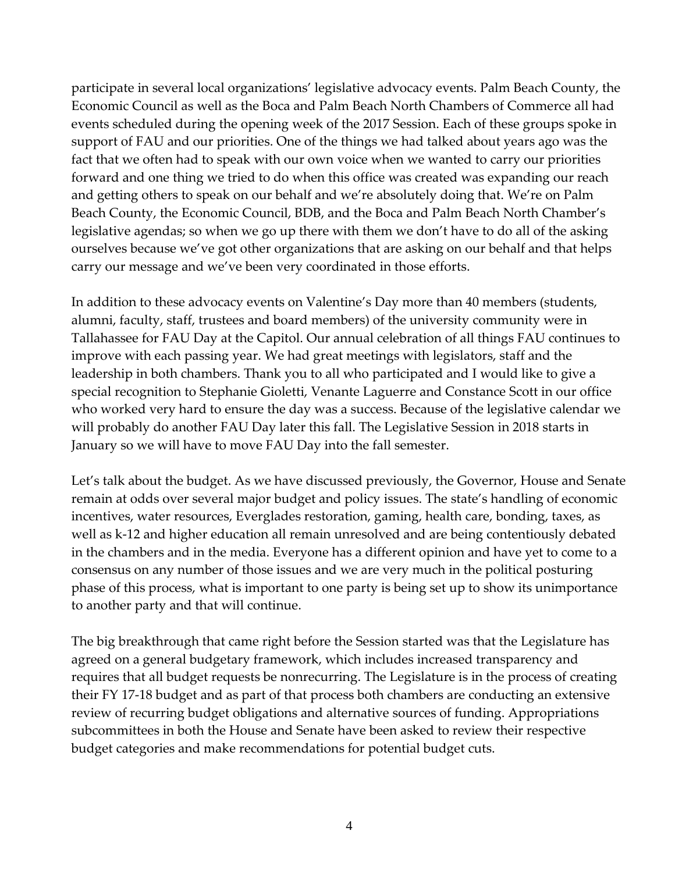participate in several local organizations' legislative advocacy events. Palm Beach County, the Economic Council as well as the Boca and Palm Beach North Chambers of Commerce all had events scheduled during the opening week of the 2017 Session. Each of these groups spoke in support of FAU and our priorities. One of the things we had talked about years ago was the fact that we often had to speak with our own voice when we wanted to carry our priorities forward and one thing we tried to do when this office was created was expanding our reach and getting others to speak on our behalf and we're absolutely doing that. We're on Palm Beach County, the Economic Council, BDB, and the Boca and Palm Beach North Chamber's legislative agendas; so when we go up there with them we don't have to do all of the asking ourselves because we've got other organizations that are asking on our behalf and that helps carry our message and we've been very coordinated in those efforts.

In addition to these advocacy events on Valentine's Day more than 40 members (students, alumni, faculty, staff, trustees and board members) of the university community were in Tallahassee for FAU Day at the Capitol. Our annual celebration of all things FAU continues to improve with each passing year. We had great meetings with legislators, staff and the leadership in both chambers. Thank you to all who participated and I would like to give a special recognition to Stephanie Gioletti, Venante Laguerre and Constance Scott in our office who worked very hard to ensure the day was a success. Because of the legislative calendar we will probably do another FAU Day later this fall. The Legislative Session in 2018 starts in January so we will have to move FAU Day into the fall semester.

Let's talk about the budget. As we have discussed previously, the Governor, House and Senate remain at odds over several major budget and policy issues. The state's handling of economic incentives, water resources, Everglades restoration, gaming, health care, bonding, taxes, as well as k-12 and higher education all remain unresolved and are being contentiously debated in the chambers and in the media. Everyone has a different opinion and have yet to come to a consensus on any number of those issues and we are very much in the political posturing phase of this process, what is important to one party is being set up to show its unimportance to another party and that will continue.

The big breakthrough that came right before the Session started was that the Legislature has agreed on a general budgetary framework, which includes increased transparency and requires that all budget requests be nonrecurring. The Legislature is in the process of creating their FY 17-18 budget and as part of that process both chambers are conducting an extensive review of recurring budget obligations and alternative sources of funding. Appropriations subcommittees in both the House and Senate have been asked to review their respective budget categories and make recommendations for potential budget cuts.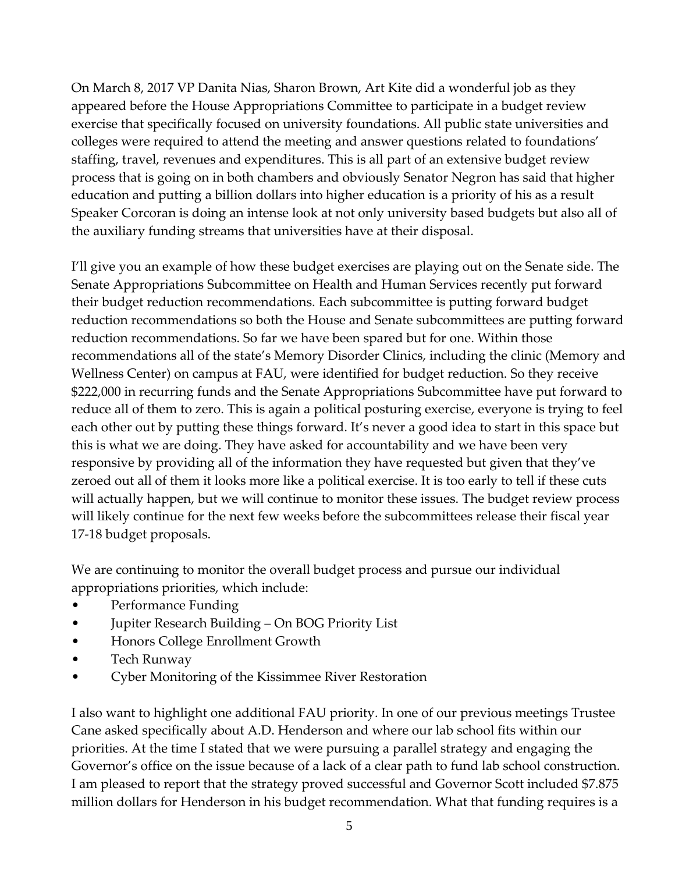On March 8, 2017 VP Danita Nias, Sharon Brown, Art Kite did a wonderful job as they appeared before the House Appropriations Committee to participate in a budget review exercise that specifically focused on university foundations. All public state universities and colleges were required to attend the meeting and answer questions related to foundations' staffing, travel, revenues and expenditures. This is all part of an extensive budget review process that is going on in both chambers and obviously Senator Negron has said that higher education and putting a billion dollars into higher education is a priority of his as a result Speaker Corcoran is doing an intense look at not only university based budgets but also all of the auxiliary funding streams that universities have at their disposal.

I'll give you an example of how these budget exercises are playing out on the Senate side. The Senate Appropriations Subcommittee on Health and Human Services recently put forward their budget reduction recommendations. Each subcommittee is putting forward budget reduction recommendations so both the House and Senate subcommittees are putting forward reduction recommendations. So far we have been spared but for one. Within those recommendations all of the state's Memory Disorder Clinics, including the clinic (Memory and Wellness Center) on campus at FAU, were identified for budget reduction. So they receive \$222,000 in recurring funds and the Senate Appropriations Subcommittee have put forward to reduce all of them to zero. This is again a political posturing exercise, everyone is trying to feel each other out by putting these things forward. It's never a good idea to start in this space but this is what we are doing. They have asked for accountability and we have been very responsive by providing all of the information they have requested but given that they've zeroed out all of them it looks more like a political exercise. It is too early to tell if these cuts will actually happen, but we will continue to monitor these issues. The budget review process will likely continue for the next few weeks before the subcommittees release their fiscal year 17-18 budget proposals.

We are continuing to monitor the overall budget process and pursue our individual appropriations priorities, which include:

- Performance Funding
- Jupiter Research Building On BOG Priority List
- Honors College Enrollment Growth
- Tech Runway
- Cyber Monitoring of the Kissimmee River Restoration

I also want to highlight one additional FAU priority. In one of our previous meetings Trustee Cane asked specifically about A.D. Henderson and where our lab school fits within our priorities. At the time I stated that we were pursuing a parallel strategy and engaging the Governor's office on the issue because of a lack of a clear path to fund lab school construction. I am pleased to report that the strategy proved successful and Governor Scott included \$7.875 million dollars for Henderson in his budget recommendation. What that funding requires is a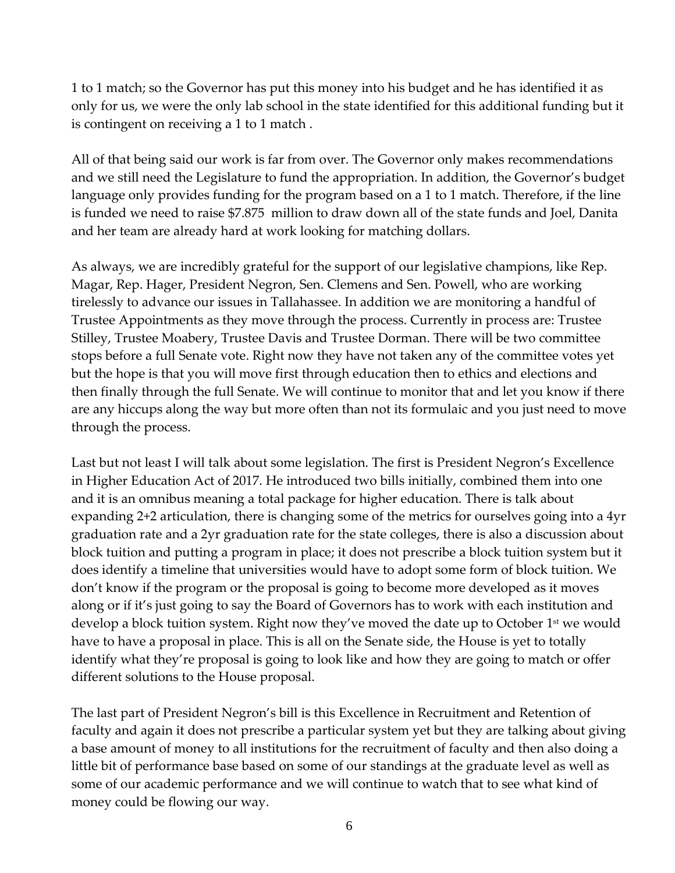1 to 1 match; so the Governor has put this money into his budget and he has identified it as only for us, we were the only lab school in the state identified for this additional funding but it is contingent on receiving a 1 to 1 match .

All of that being said our work is far from over. The Governor only makes recommendations and we still need the Legislature to fund the appropriation. In addition, the Governor's budget language only provides funding for the program based on a 1 to 1 match. Therefore, if the line is funded we need to raise \$7.875 million to draw down all of the state funds and Joel, Danita and her team are already hard at work looking for matching dollars.

As always, we are incredibly grateful for the support of our legislative champions, like Rep. Magar, Rep. Hager, President Negron, Sen. Clemens and Sen. Powell, who are working tirelessly to advance our issues in Tallahassee. In addition we are monitoring a handful of Trustee Appointments as they move through the process. Currently in process are: Trustee Stilley, Trustee Moabery, Trustee Davis and Trustee Dorman. There will be two committee stops before a full Senate vote. Right now they have not taken any of the committee votes yet but the hope is that you will move first through education then to ethics and elections and then finally through the full Senate. We will continue to monitor that and let you know if there are any hiccups along the way but more often than not its formulaic and you just need to move through the process.

Last but not least I will talk about some legislation. The first is President Negron's Excellence in Higher Education Act of 2017. He introduced two bills initially, combined them into one and it is an omnibus meaning a total package for higher education. There is talk about expanding 2+2 articulation, there is changing some of the metrics for ourselves going into a 4yr graduation rate and a 2yr graduation rate for the state colleges, there is also a discussion about block tuition and putting a program in place; it does not prescribe a block tuition system but it does identify a timeline that universities would have to adopt some form of block tuition. We don't know if the program or the proposal is going to become more developed as it moves along or if it's just going to say the Board of Governors has to work with each institution and develop a block tuition system. Right now they've moved the date up to October 1<sup>st</sup> we would have to have a proposal in place. This is all on the Senate side, the House is yet to totally identify what they're proposal is going to look like and how they are going to match or offer different solutions to the House proposal.

The last part of President Negron's bill is this Excellence in Recruitment and Retention of faculty and again it does not prescribe a particular system yet but they are talking about giving a base amount of money to all institutions for the recruitment of faculty and then also doing a little bit of performance base based on some of our standings at the graduate level as well as some of our academic performance and we will continue to watch that to see what kind of money could be flowing our way.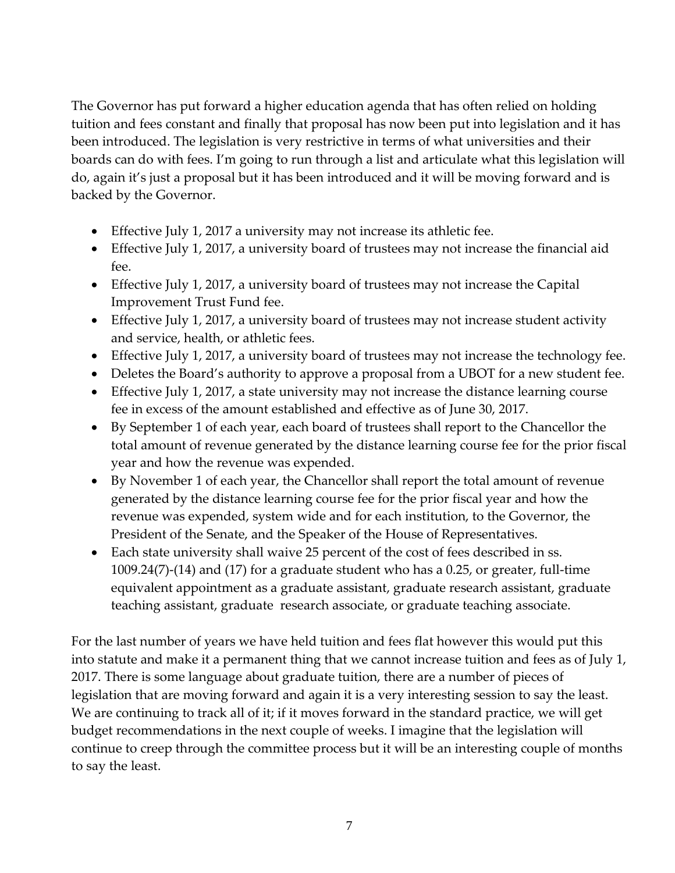The Governor has put forward a higher education agenda that has often relied on holding tuition and fees constant and finally that proposal has now been put into legislation and it has been introduced. The legislation is very restrictive in terms of what universities and their boards can do with fees. I'm going to run through a list and articulate what this legislation will do, again it's just a proposal but it has been introduced and it will be moving forward and is backed by the Governor.

- Effective July 1, 2017 a university may not increase its athletic fee.
- Effective July 1, 2017, a university board of trustees may not increase the financial aid fee.
- Effective July 1, 2017, a university board of trustees may not increase the Capital Improvement Trust Fund fee.
- Effective July 1, 2017, a university board of trustees may not increase student activity and service, health, or athletic fees.
- Effective July 1, 2017, a university board of trustees may not increase the technology fee.
- Deletes the Board's authority to approve a proposal from a UBOT for a new student fee.
- Effective July 1, 2017, a state university may not increase the distance learning course fee in excess of the amount established and effective as of June 30, 2017.
- By September 1 of each year, each board of trustees shall report to the Chancellor the total amount of revenue generated by the distance learning course fee for the prior fiscal year and how the revenue was expended.
- By November 1 of each year, the Chancellor shall report the total amount of revenue generated by the distance learning course fee for the prior fiscal year and how the revenue was expended, system wide and for each institution, to the Governor, the President of the Senate, and the Speaker of the House of Representatives.
- Each state university shall waive 25 percent of the cost of fees described in ss. 1009.24(7)-(14) and (17) for a graduate student who has a 0.25, or greater, full-time equivalent appointment as a graduate assistant, graduate research assistant, graduate teaching assistant, graduate research associate, or graduate teaching associate.

For the last number of years we have held tuition and fees flat however this would put this into statute and make it a permanent thing that we cannot increase tuition and fees as of July 1, 2017. There is some language about graduate tuition, there are a number of pieces of legislation that are moving forward and again it is a very interesting session to say the least. We are continuing to track all of it; if it moves forward in the standard practice, we will get budget recommendations in the next couple of weeks. I imagine that the legislation will continue to creep through the committee process but it will be an interesting couple of months to say the least.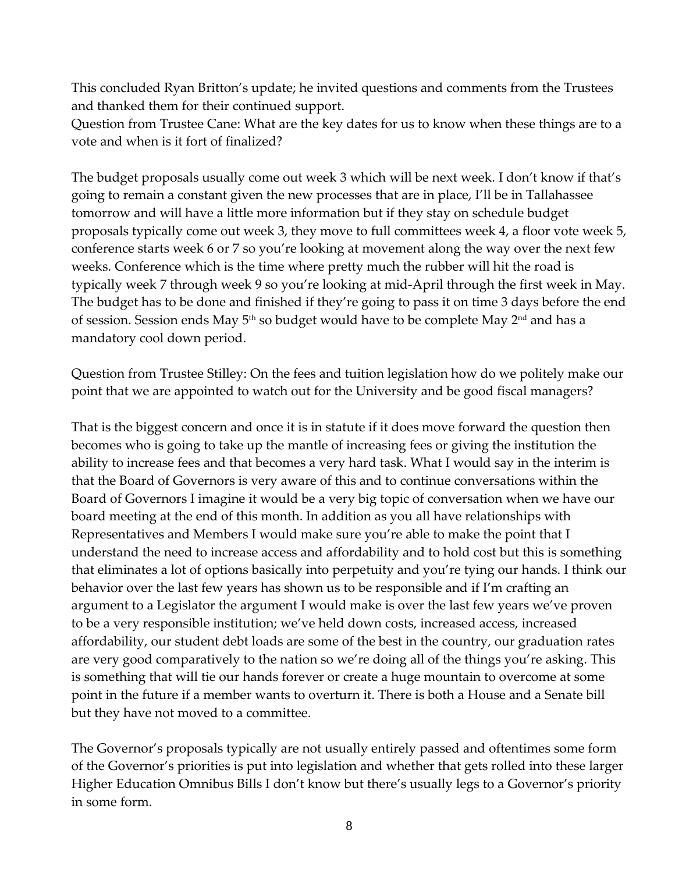This concluded Ryan Britton's update; he invited questions and comments from the Trustees and thanked them for their continued support.

Question from Trustee Cane: What are the key dates for us to know when these things are to a vote and when is it fort of finalized?

The budget proposals usually come out week 3 which will be next week. I don't know if that's going to remain a constant given the new processes that are in place, I'll be in Tallahassee tomorrow and will have a little more information but if they stay on schedule budget proposals typically come out week 3, they move to full committees week 4, a floor vote week 5, conference starts week 6 or 7 so you're looking at movement along the way over the next few weeks. Conference which is the time where pretty much the rubber will hit the road is typically week 7 through week 9 so you're looking at mid-April through the first week in May. The budget has to be done and finished if they're going to pass it on time 3 days before the end of session. Session ends May 5<sup>th</sup> so budget would have to be complete May 2<sup>nd</sup> and has a mandatory cool down period.

Question from Trustee Stilley: On the fees and tuition legislation how do we politely make our point that we are appointed to watch out for the University and be good fiscal managers?

That is the biggest concern and once it is in statute if it does move forward the question then becomes who is going to take up the mantle of increasing fees or giving the institution the ability to increase fees and that becomes a very hard task. What I would say in the interim is that the Board of Governors is very aware of this and to continue conversations within the Board of Governors I imagine it would be a very big topic of conversation when we have our board meeting at the end of this month. In addition as you all have relationships with Representatives and Members I would make sure you're able to make the point that I understand the need to increase access and affordability and to hold cost but this is something that eliminates a lot of options basically into perpetuity and you're tying our hands. I think our behavior over the last few years has shown us to be responsible and if I'm crafting an argument to a Legislator the argument I would make is over the last few years we've proven to be a very responsible institution; we've held down costs, increased access, increased affordability, our student debt loads are some of the best in the country, our graduation rates are very good comparatively to the nation so we're doing all of the things you're asking. This is something that will tie our hands forever or create a huge mountain to overcome at some point in the future if a member wants to overturn it. There is both a House and a Senate bill but they have not moved to a committee.

The Governor's proposals typically are not usually entirely passed and oftentimes some form of the Governor's priorities is put into legislation and whether that gets rolled into these larger Higher Education Omnibus Bills I don't know but there's usually legs to a Governor's priority in some form.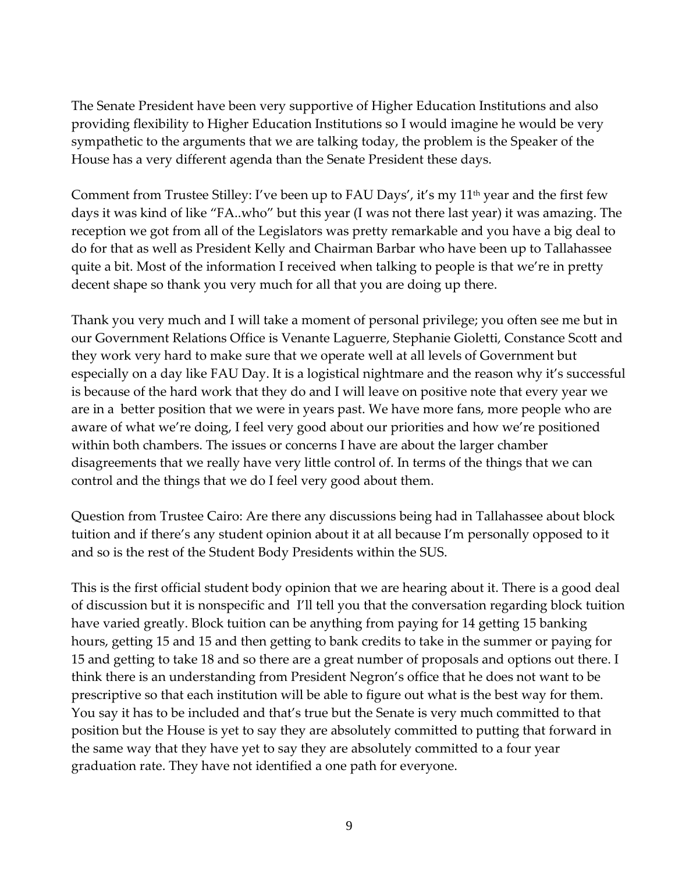The Senate President have been very supportive of Higher Education Institutions and also providing flexibility to Higher Education Institutions so I would imagine he would be very sympathetic to the arguments that we are talking today, the problem is the Speaker of the House has a very different agenda than the Senate President these days.

Comment from Trustee Stilley: I've been up to FAU Days', it's my  $11<sup>th</sup>$  year and the first few days it was kind of like "FA..who" but this year (I was not there last year) it was amazing. The reception we got from all of the Legislators was pretty remarkable and you have a big deal to do for that as well as President Kelly and Chairman Barbar who have been up to Tallahassee quite a bit. Most of the information I received when talking to people is that we're in pretty decent shape so thank you very much for all that you are doing up there.

Thank you very much and I will take a moment of personal privilege; you often see me but in our Government Relations Office is Venante Laguerre, Stephanie Gioletti, Constance Scott and they work very hard to make sure that we operate well at all levels of Government but especially on a day like FAU Day. It is a logistical nightmare and the reason why it's successful is because of the hard work that they do and I will leave on positive note that every year we are in a better position that we were in years past. We have more fans, more people who are aware of what we're doing, I feel very good about our priorities and how we're positioned within both chambers. The issues or concerns I have are about the larger chamber disagreements that we really have very little control of. In terms of the things that we can control and the things that we do I feel very good about them.

Question from Trustee Cairo: Are there any discussions being had in Tallahassee about block tuition and if there's any student opinion about it at all because I'm personally opposed to it and so is the rest of the Student Body Presidents within the SUS.

This is the first official student body opinion that we are hearing about it. There is a good deal of discussion but it is nonspecific and I'll tell you that the conversation regarding block tuition have varied greatly. Block tuition can be anything from paying for 14 getting 15 banking hours, getting 15 and 15 and then getting to bank credits to take in the summer or paying for 15 and getting to take 18 and so there are a great number of proposals and options out there. I think there is an understanding from President Negron's office that he does not want to be prescriptive so that each institution will be able to figure out what is the best way for them. You say it has to be included and that's true but the Senate is very much committed to that position but the House is yet to say they are absolutely committed to putting that forward in the same way that they have yet to say they are absolutely committed to a four year graduation rate. They have not identified a one path for everyone.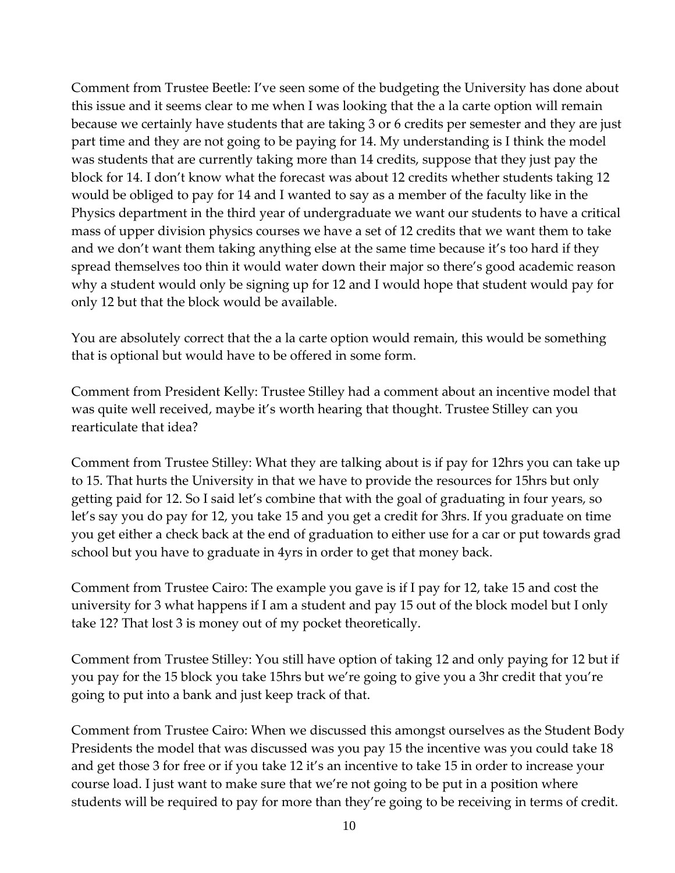Comment from Trustee Beetle: I've seen some of the budgeting the University has done about this issue and it seems clear to me when I was looking that the a la carte option will remain because we certainly have students that are taking 3 or 6 credits per semester and they are just part time and they are not going to be paying for 14. My understanding is I think the model was students that are currently taking more than 14 credits, suppose that they just pay the block for 14. I don't know what the forecast was about 12 credits whether students taking 12 would be obliged to pay for 14 and I wanted to say as a member of the faculty like in the Physics department in the third year of undergraduate we want our students to have a critical mass of upper division physics courses we have a set of 12 credits that we want them to take and we don't want them taking anything else at the same time because it's too hard if they spread themselves too thin it would water down their major so there's good academic reason why a student would only be signing up for 12 and I would hope that student would pay for only 12 but that the block would be available.

You are absolutely correct that the a la carte option would remain, this would be something that is optional but would have to be offered in some form.

Comment from President Kelly: Trustee Stilley had a comment about an incentive model that was quite well received, maybe it's worth hearing that thought. Trustee Stilley can you rearticulate that idea?

Comment from Trustee Stilley: What they are talking about is if pay for 12hrs you can take up to 15. That hurts the University in that we have to provide the resources for 15hrs but only getting paid for 12. So I said let's combine that with the goal of graduating in four years, so let's say you do pay for 12, you take 15 and you get a credit for 3hrs. If you graduate on time you get either a check back at the end of graduation to either use for a car or put towards grad school but you have to graduate in 4yrs in order to get that money back.

Comment from Trustee Cairo: The example you gave is if I pay for 12, take 15 and cost the university for 3 what happens if I am a student and pay 15 out of the block model but I only take 12? That lost 3 is money out of my pocket theoretically.

Comment from Trustee Stilley: You still have option of taking 12 and only paying for 12 but if you pay for the 15 block you take 15hrs but we're going to give you a 3hr credit that you're going to put into a bank and just keep track of that.

Comment from Trustee Cairo: When we discussed this amongst ourselves as the Student Body Presidents the model that was discussed was you pay 15 the incentive was you could take 18 and get those 3 for free or if you take 12 it's an incentive to take 15 in order to increase your course load. I just want to make sure that we're not going to be put in a position where students will be required to pay for more than they're going to be receiving in terms of credit.